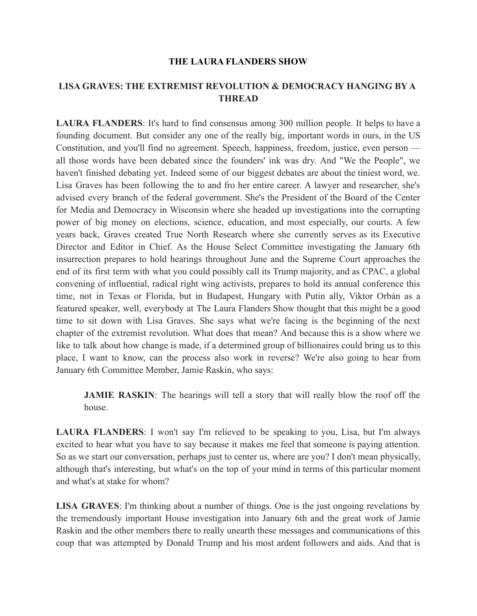## **THE LAURA FLANDERS SHOW**

## **LISA GRAVES: THE EXTREMIST REVOLUTION & DEMOCRACY HANGING BY A THREAD**

**LAURA FLANDERS**: It's hard to find consensus among 300 million people. It helps to have a founding document. But consider any one of the really big, important words in ours, in the US Constitution, and you'll find no agreement. Speech, happiness, freedom, justice, even person all those words have been debated since the founders' ink was dry. And "We the People", we haven't finished debating yet. Indeed some of our biggest debates are about the tiniest word, we. Lisa Graves has been following the to and fro her entire career. A lawyer and researcher, she's advised every branch of the federal government. She's the President of the Board of the Center for Media and Democracy in Wisconsin where she headed up investigations into the corrupting power of big money on elections, science, education, and most especially, our courts. A few years back, Graves created True North Research where she currently serves as its Executive Director and Editor in Chief. As the House Select Committee investigating the January 6th insurrection prepares to hold hearings throughout June and the Supreme Court approaches the end of its first term with what you could possibly call its Trump majority, and as CPAC, a global convening of influential, radical right wing activists, prepares to hold its annual conference this time, not in Texas or Florida, but in Budapest, Hungary with Putin ally, Viktor Orbán as a featured speaker, well, everybody at The Laura Flanders Show thought that this might be a good time to sit down with Lisa Graves. She says what we're facing is the beginning of the next chapter of the extremist revolution. What does that mean? And because this is a show where we like to talk about how change is made, if a determined group of billionaires could bring us to this place, I want to know, can the process also work in reverse? We're also going to hear from January 6th Committee Member, Jamie Raskin, who says:

**JAMIE RASKIN**: The hearings will tell a story that will really blow the roof off the house.

**LAURA FLANDERS**: I won't say I'm relieved to be speaking to you, Lisa, but I'm always excited to hear what you have to say because it makes me feel that someone is paying attention. So as we start our conversation, perhaps just to center us, where are you? I don't mean physically, although that's interesting, but what's on the top of your mind in terms of this particular moment and what's at stake for whom?

**LISA GRAVES**: I'm thinking about a number of things. One is the just ongoing revelations by the tremendously important House investigation into January 6th and the great work of Jamie Raskin and the other members there to really unearth these messages and communications of this coup that was attempted by Donald Trump and his most ardent followers and aids. And that is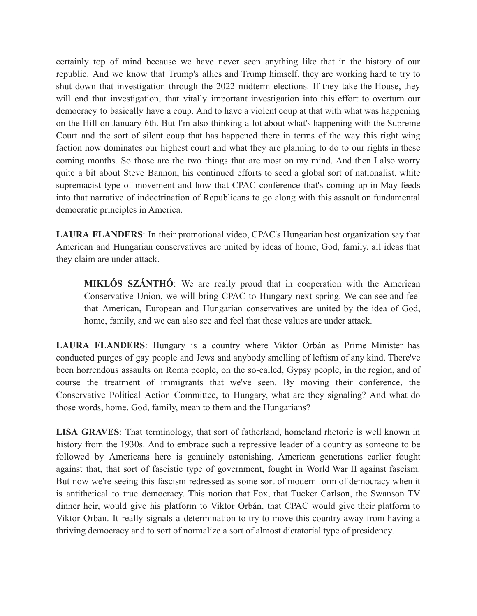certainly top of mind because we have never seen anything like that in the history of our republic. And we know that Trump's allies and Trump himself, they are working hard to try to shut down that investigation through the 2022 midterm elections. If they take the House, they will end that investigation, that vitally important investigation into this effort to overturn our democracy to basically have a coup. And to have a violent coup at that with what was happening on the Hill on January 6th. But I'm also thinking a lot about what's happening with the Supreme Court and the sort of silent coup that has happened there in terms of the way this right wing faction now dominates our highest court and what they are planning to do to our rights in these coming months. So those are the two things that are most on my mind. And then I also worry quite a bit about Steve Bannon, his continued efforts to seed a global sort of nationalist, white supremacist type of movement and how that CPAC conference that's coming up in May feeds into that narrative of indoctrination of Republicans to go along with this assault on fundamental democratic principles in America.

**LAURA FLANDERS**: In their promotional video, CPAC's Hungarian host organization say that American and Hungarian conservatives are united by ideas of home, God, family, all ideas that they claim are under attack.

**MIKLÓS SZÁNTHÓ**: We are really proud that in cooperation with the American Conservative Union, we will bring CPAC to Hungary next spring. We can see and feel that American, European and Hungarian conservatives are united by the idea of God, home, family, and we can also see and feel that these values are under attack.

**LAURA FLANDERS**: Hungary is a country where Viktor Orbán as Prime Minister has conducted purges of gay people and Jews and anybody smelling of leftism of any kind. There've been horrendous assaults on Roma people, on the so-called, Gypsy people, in the region, and of course the treatment of immigrants that we've seen. By moving their conference, the Conservative Political Action Committee, to Hungary, what are they signaling? And what do those words, home, God, family, mean to them and the Hungarians?

**LISA GRAVES**: That terminology, that sort of fatherland, homeland rhetoric is well known in history from the 1930s. And to embrace such a repressive leader of a country as someone to be followed by Americans here is genuinely astonishing. American generations earlier fought against that, that sort of fascistic type of government, fought in World War II against fascism. But now we're seeing this fascism redressed as some sort of modern form of democracy when it is antithetical to true democracy. This notion that Fox, that Tucker Carlson, the Swanson TV dinner heir, would give his platform to Viktor Orbán, that CPAC would give their platform to Viktor Orbán. It really signals a determination to try to move this country away from having a thriving democracy and to sort of normalize a sort of almost dictatorial type of presidency.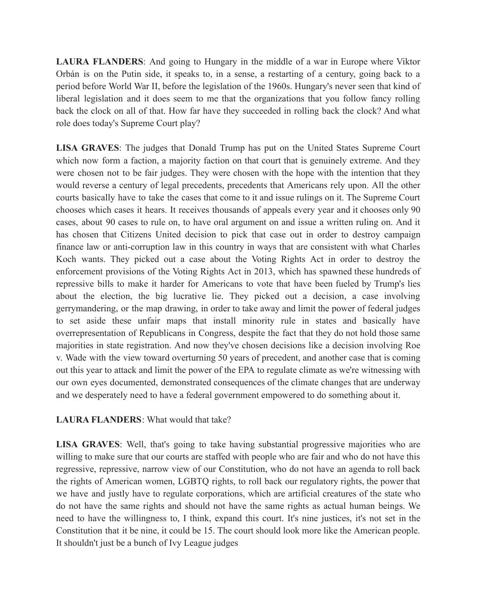**LAURA FLANDERS**: And going to Hungary in the middle of a war in Europe where Viktor Orbán is on the Putin side, it speaks to, in a sense, a restarting of a century, going back to a period before World War II, before the legislation of the 1960s. Hungary's never seen that kind of liberal legislation and it does seem to me that the organizations that you follow fancy rolling back the clock on all of that. How far have they succeeded in rolling back the clock? And what role does today's Supreme Court play?

**LISA GRAVES**: The judges that Donald Trump has put on the United States Supreme Court which now form a faction, a majority faction on that court that is genuinely extreme. And they were chosen not to be fair judges. They were chosen with the hope with the intention that they would reverse a century of legal precedents, precedents that Americans rely upon. All the other courts basically have to take the cases that come to it and issue rulings on it. The Supreme Court chooses which cases it hears. It receives thousands of appeals every year and it chooses only 90 cases, about 90 cases to rule on, to have oral argument on and issue a written ruling on. And it has chosen that Citizens United decision to pick that case out in order to destroy campaign finance law or anti-corruption law in this country in ways that are consistent with what Charles Koch wants. They picked out a case about the Voting Rights Act in order to destroy the enforcement provisions of the Voting Rights Act in 2013, which has spawned these hundreds of repressive bills to make it harder for Americans to vote that have been fueled by Trump's lies about the election, the big lucrative lie. They picked out a decision, a case involving gerrymandering, or the map drawing, in order to take away and limit the power of federal judges to set aside these unfair maps that install minority rule in states and basically have overrepresentation of Republicans in Congress, despite the fact that they do not hold those same majorities in state registration. And now they've chosen decisions like a decision involving Roe v. Wade with the view toward overturning 50 years of precedent, and another case that is coming out this year to attack and limit the power of the EPA to regulate climate as we're witnessing with our own eyes documented, demonstrated consequences of the climate changes that are underway and we desperately need to have a federal government empowered to do something about it.

## **LAURA FLANDERS**: What would that take?

**LISA GRAVES**: Well, that's going to take having substantial progressive majorities who are willing to make sure that our courts are staffed with people who are fair and who do not have this regressive, repressive, narrow view of our Constitution, who do not have an agenda to roll back the rights of American women, LGBTQ rights, to roll back our regulatory rights, the power that we have and justly have to regulate corporations, which are artificial creatures of the state who do not have the same rights and should not have the same rights as actual human beings. We need to have the willingness to, I think, expand this court. It's nine justices, it's not set in the Constitution that it be nine, it could be 15. The court should look more like the American people. It shouldn't just be a bunch of Ivy League judges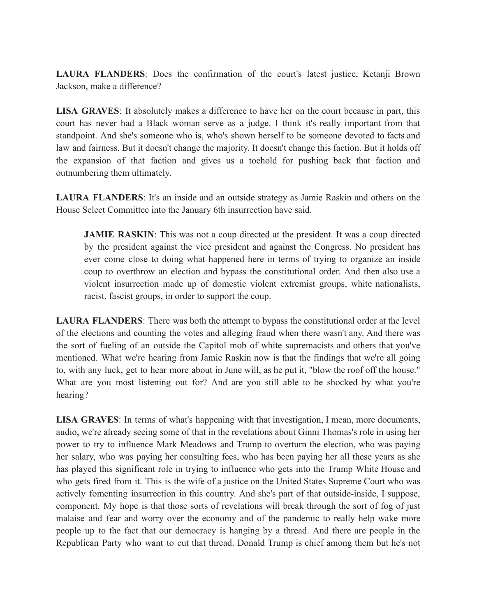**LAURA FLANDERS**: Does the confirmation of the court's latest justice, Ketanji Brown Jackson, make a difference?

**LISA GRAVES**: It absolutely makes a difference to have her on the court because in part, this court has never had a Black woman serve as a judge. I think it's really important from that standpoint. And she's someone who is, who's shown herself to be someone devoted to facts and law and fairness. But it doesn't change the majority. It doesn't change this faction. But it holds off the expansion of that faction and gives us a toehold for pushing back that faction and outnumbering them ultimately.

**LAURA FLANDERS**: It's an inside and an outside strategy as Jamie Raskin and others on the House Select Committee into the January 6th insurrection have said.

**JAMIE RASKIN:** This was not a coup directed at the president. It was a coup directed by the president against the vice president and against the Congress. No president has ever come close to doing what happened here in terms of trying to organize an inside coup to overthrow an election and bypass the constitutional order. And then also use a violent insurrection made up of domestic violent extremist groups, white nationalists, racist, fascist groups, in order to support the coup.

**LAURA FLANDERS**: There was both the attempt to bypass the constitutional order at the level of the elections and counting the votes and alleging fraud when there wasn't any. And there was the sort of fueling of an outside the Capitol mob of white supremacists and others that you've mentioned. What we're hearing from Jamie Raskin now is that the findings that we're all going to, with any luck, get to hear more about in June will, as he put it, "blow the roof off the house." What are you most listening out for? And are you still able to be shocked by what you're hearing?

**LISA GRAVES**: In terms of what's happening with that investigation, I mean, more documents, audio, we're already seeing some of that in the revelations about Ginni Thomas's role in using her power to try to influence Mark Meadows and Trump to overturn the election, who was paying her salary, who was paying her consulting fees, who has been paying her all these years as she has played this significant role in trying to influence who gets into the Trump White House and who gets fired from it. This is the wife of a justice on the United States Supreme Court who was actively fomenting insurrection in this country. And she's part of that outside-inside, I suppose, component. My hope is that those sorts of revelations will break through the sort of fog of just malaise and fear and worry over the economy and of the pandemic to really help wake more people up to the fact that our democracy is hanging by a thread. And there are people in the Republican Party who want to cut that thread. Donald Trump is chief among them but he's not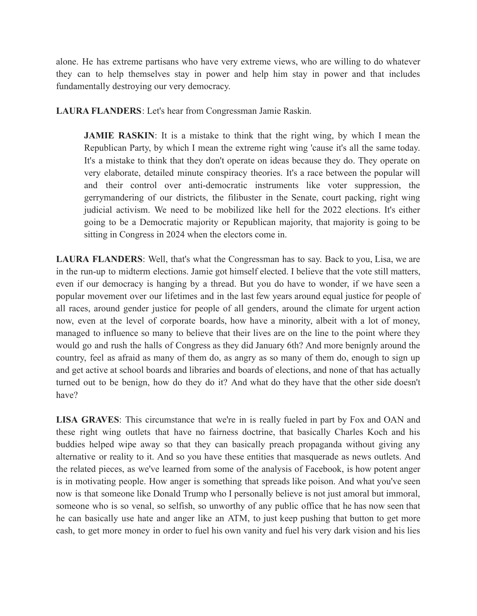alone. He has extreme partisans who have very extreme views, who are willing to do whatever they can to help themselves stay in power and help him stay in power and that includes fundamentally destroying our very democracy.

**LAURA FLANDERS**: Let's hear from Congressman Jamie Raskin.

**JAMIE RASKIN:** It is a mistake to think that the right wing, by which I mean the Republican Party, by which I mean the extreme right wing 'cause it's all the same today. It's a mistake to think that they don't operate on ideas because they do. They operate on very elaborate, detailed minute conspiracy theories. It's a race between the popular will and their control over anti-democratic instruments like voter suppression, the gerrymandering of our districts, the filibuster in the Senate, court packing, right wing judicial activism. We need to be mobilized like hell for the 2022 elections. It's either going to be a Democratic majority or Republican majority, that majority is going to be sitting in Congress in 2024 when the electors come in.

**LAURA FLANDERS**: Well, that's what the Congressman has to say. Back to you, Lisa, we are in the run-up to midterm elections. Jamie got himself elected. I believe that the vote still matters, even if our democracy is hanging by a thread. But you do have to wonder, if we have seen a popular movement over our lifetimes and in the last few years around equal justice for people of all races, around gender justice for people of all genders, around the climate for urgent action now, even at the level of corporate boards, how have a minority, albeit with a lot of money, managed to influence so many to believe that their lives are on the line to the point where they would go and rush the halls of Congress as they did January 6th? And more benignly around the country, feel as afraid as many of them do, as angry as so many of them do, enough to sign up and get active at school boards and libraries and boards of elections, and none of that has actually turned out to be benign, how do they do it? And what do they have that the other side doesn't have?

**LISA GRAVES**: This circumstance that we're in is really fueled in part by Fox and OAN and these right wing outlets that have no fairness doctrine, that basically Charles Koch and his buddies helped wipe away so that they can basically preach propaganda without giving any alternative or reality to it. And so you have these entities that masquerade as news outlets. And the related pieces, as we've learned from some of the analysis of Facebook, is how potent anger is in motivating people. How anger is something that spreads like poison. And what you've seen now is that someone like Donald Trump who I personally believe is not just amoral but immoral, someone who is so venal, so selfish, so unworthy of any public office that he has now seen that he can basically use hate and anger like an ATM, to just keep pushing that button to get more cash, to get more money in order to fuel his own vanity and fuel his very dark vision and his lies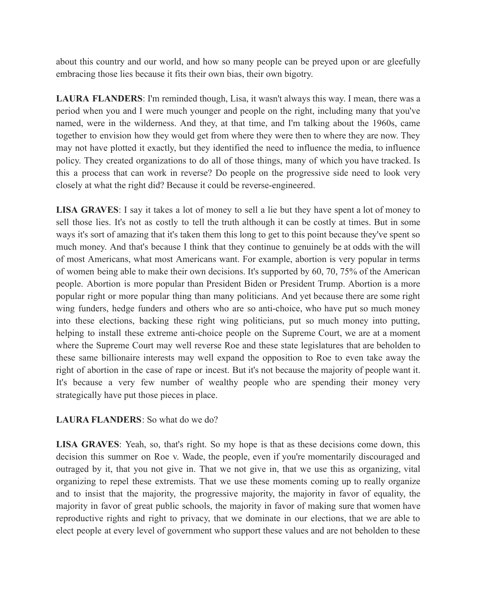about this country and our world, and how so many people can be preyed upon or are gleefully embracing those lies because it fits their own bias, their own bigotry.

**LAURA FLANDERS**: I'm reminded though, Lisa, it wasn't always this way. I mean, there was a period when you and I were much younger and people on the right, including many that you've named, were in the wilderness. And they, at that time, and I'm talking about the 1960s, came together to envision how they would get from where they were then to where they are now. They may not have plotted it exactly, but they identified the need to influence the media, to influence policy. They created organizations to do all of those things, many of which you have tracked. Is this a process that can work in reverse? Do people on the progressive side need to look very closely at what the right did? Because it could be reverse-engineered.

**LISA GRAVES**: I say it takes a lot of money to sell a lie but they have spent a lot of money to sell those lies. It's not as costly to tell the truth although it can be costly at times. But in some ways it's sort of amazing that it's taken them this long to get to this point because they've spent so much money. And that's because I think that they continue to genuinely be at odds with the will of most Americans, what most Americans want. For example, abortion is very popular in terms of women being able to make their own decisions. It's supported by 60, 70, 75% of the American people. Abortion is more popular than President Biden or President Trump. Abortion is a more popular right or more popular thing than many politicians. And yet because there are some right wing funders, hedge funders and others who are so anti-choice, who have put so much money into these elections, backing these right wing politicians, put so much money into putting, helping to install these extreme anti-choice people on the Supreme Court, we are at a moment where the Supreme Court may well reverse Roe and these state legislatures that are beholden to these same billionaire interests may well expand the opposition to Roe to even take away the right of abortion in the case of rape or incest. But it's not because the majority of people want it. It's because a very few number of wealthy people who are spending their money very strategically have put those pieces in place.

## **LAURA FLANDERS**: So what do we do?

**LISA GRAVES**: Yeah, so, that's right. So my hope is that as these decisions come down, this decision this summer on Roe v. Wade, the people, even if you're momentarily discouraged and outraged by it, that you not give in. That we not give in, that we use this as organizing, vital organizing to repel these extremists. That we use these moments coming up to really organize and to insist that the majority, the progressive majority, the majority in favor of equality, the majority in favor of great public schools, the majority in favor of making sure that women have reproductive rights and right to privacy, that we dominate in our elections, that we are able to elect people at every level of government who support these values and are not beholden to these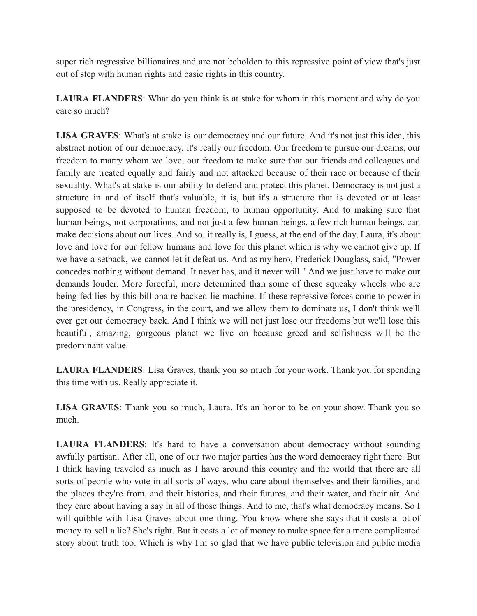super rich regressive billionaires and are not beholden to this repressive point of view that's just out of step with human rights and basic rights in this country.

**LAURA FLANDERS**: What do you think is at stake for whom in this moment and why do you care so much?

**LISA GRAVES**: What's at stake is our democracy and our future. And it's not just this idea, this abstract notion of our democracy, it's really our freedom. Our freedom to pursue our dreams, our freedom to marry whom we love, our freedom to make sure that our friends and colleagues and family are treated equally and fairly and not attacked because of their race or because of their sexuality. What's at stake is our ability to defend and protect this planet. Democracy is not just a structure in and of itself that's valuable, it is, but it's a structure that is devoted or at least supposed to be devoted to human freedom, to human opportunity. And to making sure that human beings, not corporations, and not just a few human beings, a few rich human beings, can make decisions about our lives. And so, it really is, I guess, at the end of the day, Laura, it's about love and love for our fellow humans and love for this planet which is why we cannot give up. If we have a setback, we cannot let it defeat us. And as my hero, Frederick Douglass, said, "Power concedes nothing without demand. It never has, and it never will." And we just have to make our demands louder. More forceful, more determined than some of these squeaky wheels who are being fed lies by this billionaire-backed lie machine. If these repressive forces come to power in the presidency, in Congress, in the court, and we allow them to dominate us, I don't think we'll ever get our democracy back. And I think we will not just lose our freedoms but we'll lose this beautiful, amazing, gorgeous planet we live on because greed and selfishness will be the predominant value.

**LAURA FLANDERS**: Lisa Graves, thank you so much for your work. Thank you for spending this time with us. Really appreciate it.

**LISA GRAVES**: Thank you so much, Laura. It's an honor to be on your show. Thank you so much.

**LAURA FLANDERS**: It's hard to have a conversation about democracy without sounding awfully partisan. After all, one of our two major parties has the word democracy right there. But I think having traveled as much as I have around this country and the world that there are all sorts of people who vote in all sorts of ways, who care about themselves and their families, and the places they're from, and their histories, and their futures, and their water, and their air. And they care about having a say in all of those things. And to me, that's what democracy means. So I will quibble with Lisa Graves about one thing. You know where she says that it costs a lot of money to sell a lie? She's right. But it costs a lot of money to make space for a more complicated story about truth too. Which is why I'm so glad that we have public television and public media